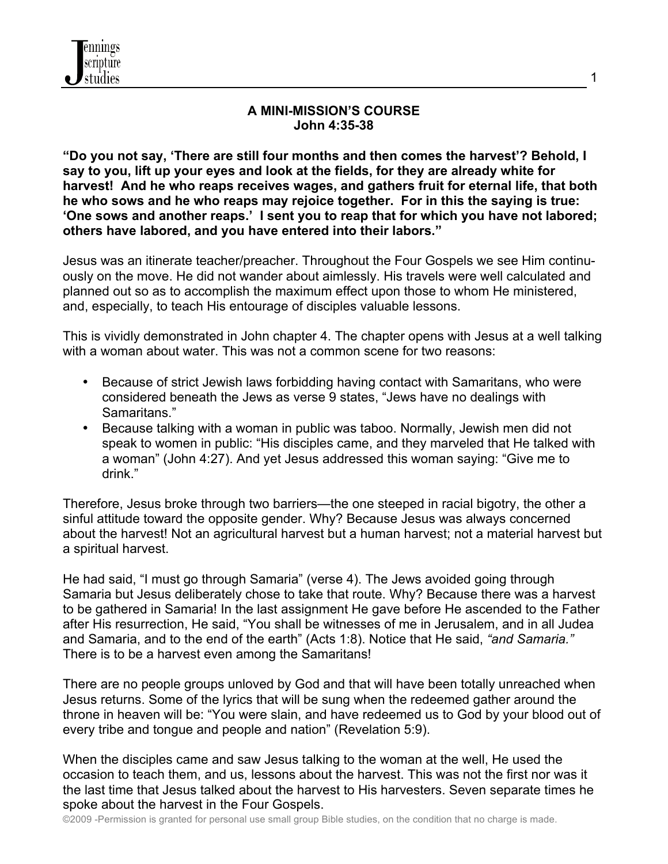

#### **A MINI-MISSION'S COURSE John 4:35-38**

**"Do you not say, 'There are still four months and then comes the harvest'? Behold, I say to you, lift up your eyes and look at the fields, for they are already white for harvest! And he who reaps receives wages, and gathers fruit for eternal life, that both he who sows and he who reaps may rejoice together. For in this the saying is true: 'One sows and another reaps.' I sent you to reap that for which you have not labored; others have labored, and you have entered into their labors."**

Jesus was an itinerate teacher/preacher. Throughout the Four Gospels we see Him continuously on the move. He did not wander about aimlessly. His travels were well calculated and planned out so as to accomplish the maximum effect upon those to whom He ministered, and, especially, to teach His entourage of disciples valuable lessons.

This is vividly demonstrated in John chapter 4. The chapter opens with Jesus at a well talking with a woman about water. This was not a common scene for two reasons:

- Because of strict Jewish laws forbidding having contact with Samaritans, who were considered beneath the Jews as verse 9 states, "Jews have no dealings with Samaritans."
- Because talking with a woman in public was taboo. Normally, Jewish men did not speak to women in public: "His disciples came, and they marveled that He talked with a woman" (John 4:27). And yet Jesus addressed this woman saying: "Give me to drink."

Therefore, Jesus broke through two barriers—the one steeped in racial bigotry, the other a sinful attitude toward the opposite gender. Why? Because Jesus was always concerned about the harvest! Not an agricultural harvest but a human harvest; not a material harvest but a spiritual harvest.

He had said, "I must go through Samaria" (verse 4). The Jews avoided going through Samaria but Jesus deliberately chose to take that route. Why? Because there was a harvest to be gathered in Samaria! In the last assignment He gave before He ascended to the Father after His resurrection, He said, "You shall be witnesses of me in Jerusalem, and in all Judea and Samaria, and to the end of the earth" (Acts 1:8). Notice that He said, *"and Samaria."* There is to be a harvest even among the Samaritans!

There are no people groups unloved by God and that will have been totally unreached when Jesus returns. Some of the lyrics that will be sung when the redeemed gather around the throne in heaven will be: "You were slain, and have redeemed us to God by your blood out of every tribe and tongue and people and nation" (Revelation 5:9).

When the disciples came and saw Jesus talking to the woman at the well, He used the occasion to teach them, and us, lessons about the harvest. This was not the first nor was it the last time that Jesus talked about the harvest to His harvesters. Seven separate times he spoke about the harvest in the Four Gospels.

1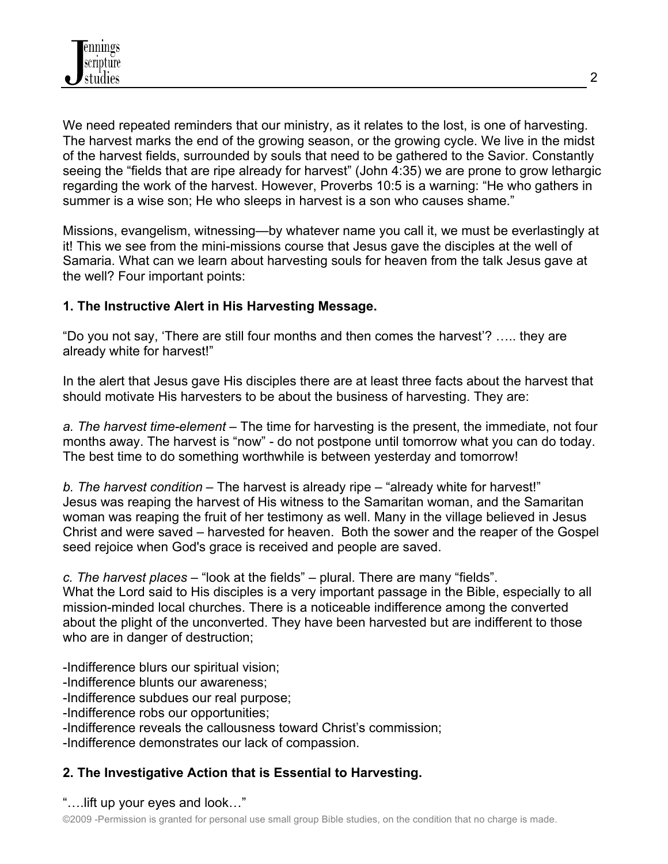We need repeated reminders that our ministry, as it relates to the lost, is one of harvesting. The harvest marks the end of the growing season, or the growing cycle. We live in the midst of the harvest fields, surrounded by souls that need to be gathered to the Savior. Constantly seeing the "fields that are ripe already for harvest" (John 4:35) we are prone to grow lethargic regarding the work of the harvest. However, Proverbs 10:5 is a warning: "He who gathers in summer is a wise son; He who sleeps in harvest is a son who causes shame."

Missions, evangelism, witnessing—by whatever name you call it, we must be everlastingly at it! This we see from the mini-missions course that Jesus gave the disciples at the well of Samaria. What can we learn about harvesting souls for heaven from the talk Jesus gave at the well? Four important points:

## **1. The Instructive Alert in His Harvesting Message.**

"Do you not say, 'There are still four months and then comes the harvest'? ….. they are already white for harvest!"

In the alert that Jesus gave His disciples there are at least three facts about the harvest that should motivate His harvesters to be about the business of harvesting. They are:

*a. The harvest time-element* – The time for harvesting is the present, the immediate, not four months away. The harvest is "now" - do not postpone until tomorrow what you can do today. The best time to do something worthwhile is between yesterday and tomorrow!

*b. The harvest condition* – The harvest is already ripe – "already white for harvest!" Jesus was reaping the harvest of His witness to the Samaritan woman, and the Samaritan woman was reaping the fruit of her testimony as well. Many in the village believed in Jesus Christ and were saved – harvested for heaven. Both the sower and the reaper of the Gospel seed rejoice when God's grace is received and people are saved.

*c. The harvest places* – "look at the fields" – plural. There are many "fields".

What the Lord said to His disciples is a very important passage in the Bible, especially to all mission-minded local churches. There is a noticeable indifference among the converted about the plight of the unconverted. They have been harvested but are indifferent to those who are in danger of destruction;

-Indifference blurs our spiritual vision;

- -Indifference blunts our awareness;
- -Indifference subdues our real purpose;

-Indifference robs our opportunities;

-Indifference reveals the callousness toward Christ's commission;

-Indifference demonstrates our lack of compassion.

# **2. The Investigative Action that is Essential to Harvesting.**

"….lift up your eyes and look…"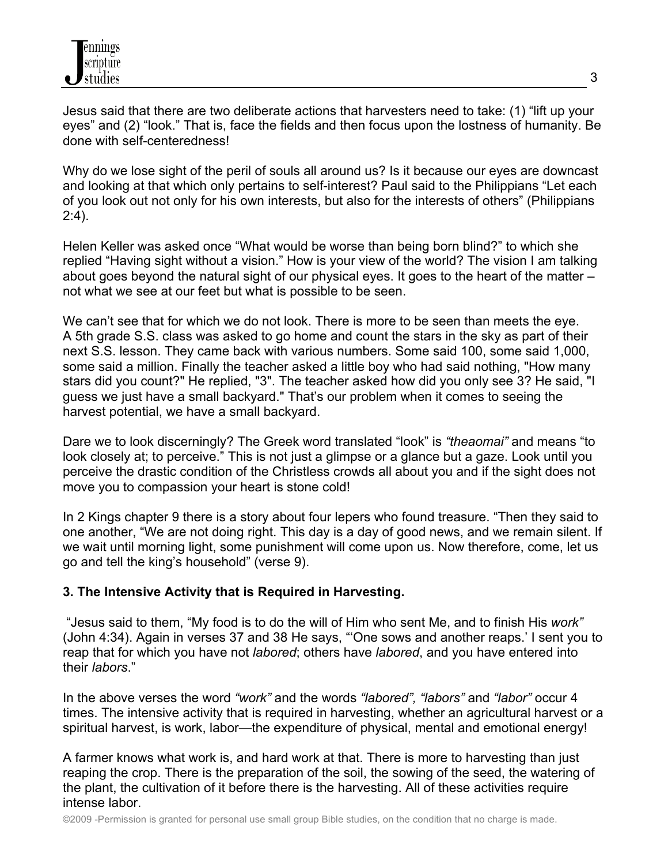Jesus said that there are two deliberate actions that harvesters need to take: (1) "lift up your eyes" and (2) "look." That is, face the fields and then focus upon the lostness of humanity. Be done with self-centeredness!

Why do we lose sight of the peril of souls all around us? Is it because our eyes are downcast and looking at that which only pertains to self-interest? Paul said to the Philippians "Let each of you look out not only for his own interests, but also for the interests of others" (Philippians 2:4).

Helen Keller was asked once "What would be worse than being born blind?" to which she replied "Having sight without a vision." How is your view of the world? The vision I am talking about goes beyond the natural sight of our physical eyes. It goes to the heart of the matter – not what we see at our feet but what is possible to be seen.

We can't see that for which we do not look. There is more to be seen than meets the eye. A 5th grade S.S. class was asked to go home and count the stars in the sky as part of their next S.S. lesson. They came back with various numbers. Some said 100, some said 1,000, some said a million. Finally the teacher asked a little boy who had said nothing, "How many stars did you count?" He replied, "3". The teacher asked how did you only see 3? He said, "I guess we just have a small backyard." That's our problem when it comes to seeing the harvest potential, we have a small backyard.

Dare we to look discerningly? The Greek word translated "look" is *"theaomai"* and means "to look closely at; to perceive." This is not just a glimpse or a glance but a gaze. Look until you perceive the drastic condition of the Christless crowds all about you and if the sight does not move you to compassion your heart is stone cold!

In 2 Kings chapter 9 there is a story about four lepers who found treasure. "Then they said to one another, "We are not doing right. This day is a day of good news, and we remain silent. If we wait until morning light, some punishment will come upon us. Now therefore, come, let us go and tell the king's household" (verse 9).

## **3. The Intensive Activity that is Required in Harvesting.**

"Jesus said to them, "My food is to do the will of Him who sent Me, and to finish His *work"* (John 4:34). Again in verses 37 and 38 He says, "'One sows and another reaps.' I sent you to reap that for which you have not *labored*; others have *labored*, and you have entered into their *labors*."

In the above verses the word *"work"* and the words *"labored", "labors"* and *"labor"* occur 4 times. The intensive activity that is required in harvesting, whether an agricultural harvest or a spiritual harvest, is work, labor—the expenditure of physical, mental and emotional energy!

A farmer knows what work is, and hard work at that. There is more to harvesting than just reaping the crop. There is the preparation of the soil, the sowing of the seed, the watering of the plant, the cultivation of it before there is the harvesting. All of these activities require intense labor.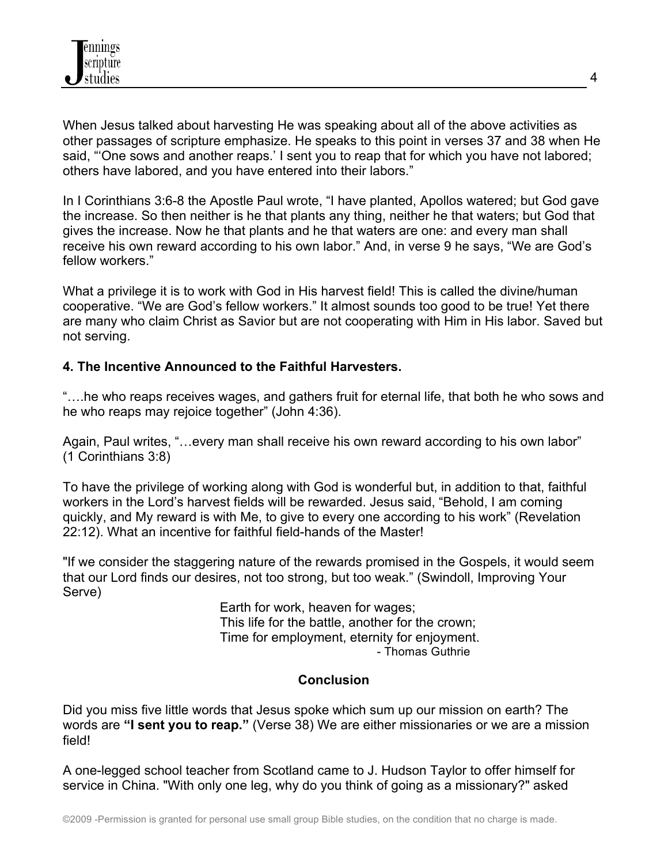

When Jesus talked about harvesting He was speaking about all of the above activities as other passages of scripture emphasize. He speaks to this point in verses 37 and 38 when He said, "'One sows and another reaps.' I sent you to reap that for which you have not labored; others have labored, and you have entered into their labors."

In I Corinthians 3:6-8 the Apostle Paul wrote, "I have planted, Apollos watered; but God gave the increase. So then neither is he that plants any thing, neither he that waters; but God that gives the increase. Now he that plants and he that waters are one: and every man shall receive his own reward according to his own labor." And, in verse 9 he says, "We are God's fellow workers."

What a privilege it is to work with God in His harvest field! This is called the divine/human cooperative. "We are God's fellow workers." It almost sounds too good to be true! Yet there are many who claim Christ as Savior but are not cooperating with Him in His labor. Saved but not serving.

### **4. The Incentive Announced to the Faithful Harvesters.**

"….he who reaps receives wages, and gathers fruit for eternal life, that both he who sows and he who reaps may rejoice together" (John 4:36).

Again, Paul writes, "…every man shall receive his own reward according to his own labor" (1 Corinthians 3:8)

To have the privilege of working along with God is wonderful but, in addition to that, faithful workers in the Lord's harvest fields will be rewarded. Jesus said, "Behold, I am coming quickly, and My reward is with Me, to give to every one according to his work" (Revelation 22:12). What an incentive for faithful field-hands of the Master!

"If we consider the staggering nature of the rewards promised in the Gospels, it would seem that our Lord finds our desires, not too strong, but too weak." (Swindoll, Improving Your Serve)

> Earth for work, heaven for wages; This life for the battle, another for the crown; Time for employment, eternity for enjoyment. - Thomas Guthrie

### **Conclusion**

Did you miss five little words that Jesus spoke which sum up our mission on earth? The words are **"I sent you to reap."** (Verse 38) We are either missionaries or we are a mission field!

A one-legged school teacher from Scotland came to J. Hudson Taylor to offer himself for service in China. "With only one leg, why do you think of going as a missionary?" asked